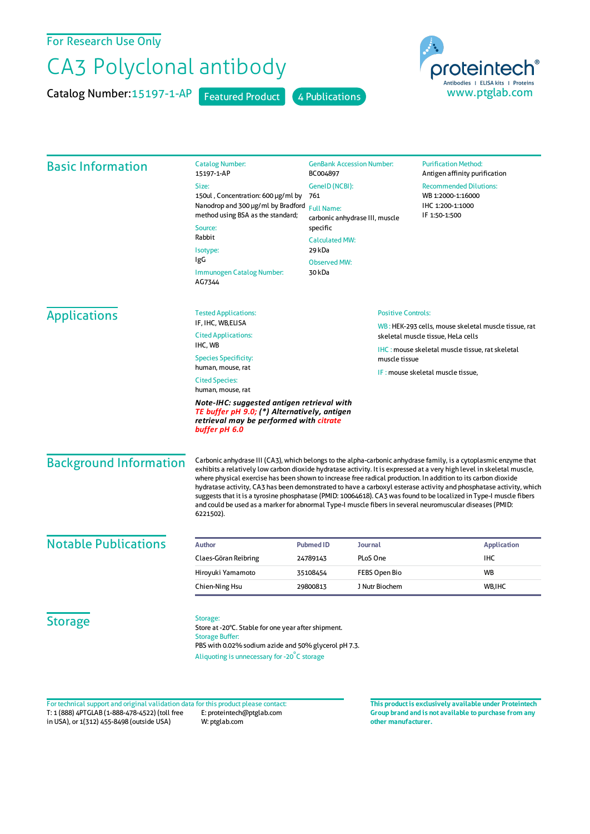For Research Use Only

## CA3 Polyclonal antibody

Catalog Number: 15197-1-AP Featured Product 4 Publications





| <b>Basic Information</b>    | <b>Catalog Number:</b><br>15197-1-AP                                                                                                                                                                                                                                                          | <b>GenBank Accession Number:</b><br>BC004897                                                                                                                                                                                                                                                                                                                                                                                                                                                                                                                                                                                                                                                                                    |                | <b>Purification Method:</b><br>Antigen affinity purification                                                                                           |  |
|-----------------------------|-----------------------------------------------------------------------------------------------------------------------------------------------------------------------------------------------------------------------------------------------------------------------------------------------|---------------------------------------------------------------------------------------------------------------------------------------------------------------------------------------------------------------------------------------------------------------------------------------------------------------------------------------------------------------------------------------------------------------------------------------------------------------------------------------------------------------------------------------------------------------------------------------------------------------------------------------------------------------------------------------------------------------------------------|----------------|--------------------------------------------------------------------------------------------------------------------------------------------------------|--|
|                             | Size:                                                                                                                                                                                                                                                                                         | GenelD (NCBI):                                                                                                                                                                                                                                                                                                                                                                                                                                                                                                                                                                                                                                                                                                                  |                | <b>Recommended Dilutions:</b><br>WB 1:2000-1:16000                                                                                                     |  |
|                             | 150ul, Concentration: 600 µg/ml by                                                                                                                                                                                                                                                            | 761                                                                                                                                                                                                                                                                                                                                                                                                                                                                                                                                                                                                                                                                                                                             |                |                                                                                                                                                        |  |
|                             | Nanodrop and 300 µg/ml by Bradford<br>method using BSA as the standard;                                                                                                                                                                                                                       | <b>Full Name:</b><br>carbonic anhydrase III, muscle<br>specific                                                                                                                                                                                                                                                                                                                                                                                                                                                                                                                                                                                                                                                                 |                | IHC 1:200-1:1000<br>IF 1:50-1:500                                                                                                                      |  |
|                             | Source:                                                                                                                                                                                                                                                                                       |                                                                                                                                                                                                                                                                                                                                                                                                                                                                                                                                                                                                                                                                                                                                 |                |                                                                                                                                                        |  |
|                             | Rabbit                                                                                                                                                                                                                                                                                        | <b>Calculated MW:</b>                                                                                                                                                                                                                                                                                                                                                                                                                                                                                                                                                                                                                                                                                                           |                |                                                                                                                                                        |  |
|                             | Isotype:                                                                                                                                                                                                                                                                                      | 29 kDa<br><b>Observed MW:</b>                                                                                                                                                                                                                                                                                                                                                                                                                                                                                                                                                                                                                                                                                                   |                |                                                                                                                                                        |  |
|                             | IgG                                                                                                                                                                                                                                                                                           |                                                                                                                                                                                                                                                                                                                                                                                                                                                                                                                                                                                                                                                                                                                                 |                |                                                                                                                                                        |  |
|                             | Immunogen Catalog Number:<br>AG7344                                                                                                                                                                                                                                                           | 30 kDa                                                                                                                                                                                                                                                                                                                                                                                                                                                                                                                                                                                                                                                                                                                          |                |                                                                                                                                                        |  |
| <b>Applications</b>         | <b>Tested Applications:</b>                                                                                                                                                                                                                                                                   | <b>Positive Controls:</b>                                                                                                                                                                                                                                                                                                                                                                                                                                                                                                                                                                                                                                                                                                       |                |                                                                                                                                                        |  |
|                             | IF, IHC, WB,ELISA                                                                                                                                                                                                                                                                             |                                                                                                                                                                                                                                                                                                                                                                                                                                                                                                                                                                                                                                                                                                                                 |                | WB: HEK-293 cells, mouse skeletal muscle tissue, rat                                                                                                   |  |
|                             | <b>Cited Applications:</b><br>skeletal muscle tissue, HeLa cells<br>IHC, WB<br><b>IHC: mouse skeletal muscle tissue, rat skeletal</b><br><b>Species Specificity:</b><br>muscle tissue<br>human, mouse, rat<br>IF: mouse skeletal muscle tissue,<br><b>Cited Species:</b><br>human, mouse, rat |                                                                                                                                                                                                                                                                                                                                                                                                                                                                                                                                                                                                                                                                                                                                 |                |                                                                                                                                                        |  |
|                             |                                                                                                                                                                                                                                                                                               |                                                                                                                                                                                                                                                                                                                                                                                                                                                                                                                                                                                                                                                                                                                                 |                |                                                                                                                                                        |  |
|                             |                                                                                                                                                                                                                                                                                               |                                                                                                                                                                                                                                                                                                                                                                                                                                                                                                                                                                                                                                                                                                                                 |                | Note-IHC: suggested antigen retrieval with<br>TE buffer pH 9.0; (*) Alternatively, antigen<br>retrieval may be performed with citrate<br>buffer pH 6.0 |  |
|                             | <b>Background Information</b>                                                                                                                                                                                                                                                                 | Carbonic anhydrase III (CA3), which belongs to the alpha-carbonic anhydrase family, is a cytoplasmic enzyme that<br>exhibits a relatively low carbon dioxide hydratase activity. It is expressed at a very high level in skeletal muscle,<br>where physical exercise has been shown to increase free radical production. In addition to its carbon dioxide<br>hydratase activity, CA3 has been demonstrated to have a carboxyl esterase activity and phosphatase activity, which<br>suggests that it is a tyrosine phosphatase (PMID: 10064618). CA3 was found to be localized in Type-I muscle fibers<br>and could be used as a marker for abnormal Type-I muscle fibers in several neuromuscular diseases (PMID:<br>6221502). |                |                                                                                                                                                        |  |
| <b>Notable Publications</b> | <b>Author</b>                                                                                                                                                                                                                                                                                 | <b>Pubmed ID</b>                                                                                                                                                                                                                                                                                                                                                                                                                                                                                                                                                                                                                                                                                                                | <b>Journal</b> | <b>Application</b>                                                                                                                                     |  |
|                             | Claes-Göran Reibring                                                                                                                                                                                                                                                                          | 24789143                                                                                                                                                                                                                                                                                                                                                                                                                                                                                                                                                                                                                                                                                                                        | PLoS One       | <b>IHC</b>                                                                                                                                             |  |
|                             | Hiroyuki Yamamoto                                                                                                                                                                                                                                                                             | 35108454                                                                                                                                                                                                                                                                                                                                                                                                                                                                                                                                                                                                                                                                                                                        | FEBS Open Bio  | <b>WB</b>                                                                                                                                              |  |
|                             | Chien-Ning Hsu                                                                                                                                                                                                                                                                                | 29800813                                                                                                                                                                                                                                                                                                                                                                                                                                                                                                                                                                                                                                                                                                                        | J Nutr Biochem | WB, IHC                                                                                                                                                |  |
| <b>Storage</b>              | Storage:<br>Store at -20°C. Stable for one year after shipment.<br><b>Storage Buffer:</b><br>PBS with 0.02% sodium azide and 50% glycerol pH 7.3.<br>Aliquoting is unnecessary for -20°C storage                                                                                              |                                                                                                                                                                                                                                                                                                                                                                                                                                                                                                                                                                                                                                                                                                                                 |                |                                                                                                                                                        |  |

T: 1 (888) 4PTGLAB (1-888-478-4522) (toll free in USA), or 1(312) 455-8498 (outside USA) E: proteintech@ptglab.com W: ptglab.com Fortechnical support and original validation data forthis product please contact: **This productis exclusively available under Proteintech**

**Group brand and is not available to purchase from any other manufacturer.**